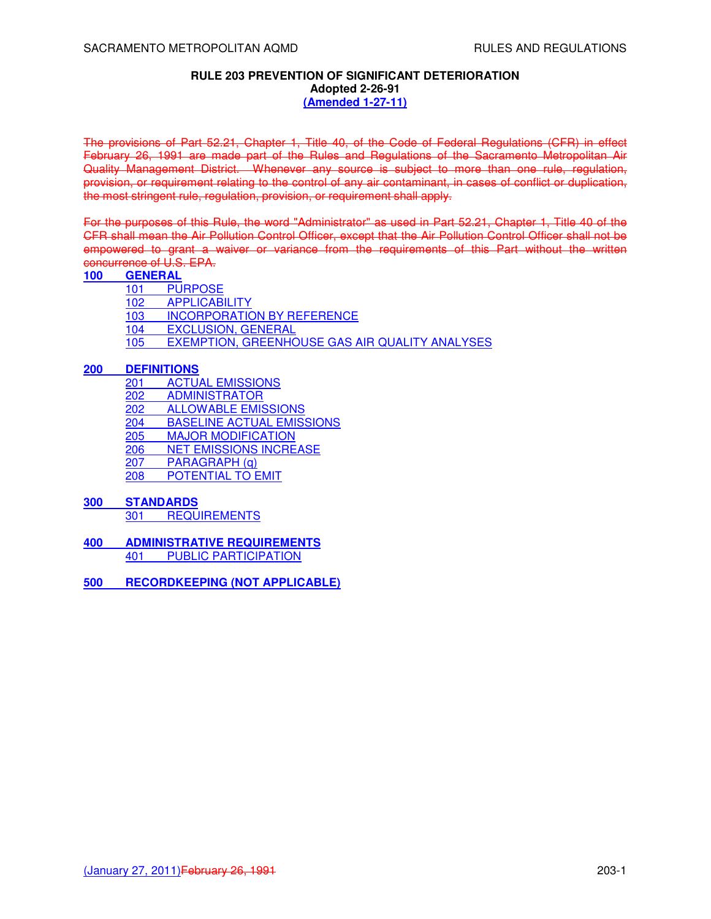#### **RULE 203 PREVENTION OF SIGNIFICANT DETERIORATION Adopted 2-26-91 (Amended 1-27-11)**

The provisions of Part 52.21, Chapter 1, Title 40, of the Code of Federal Regulations (CFR) in effect February 26, 1991 are made part of the Rules and Regulations of the Sacramento Metropolitan Air Quality Management District. Whenever any source is subject to more than one rule, regulation, provision, or requirement relating to the control of any air contaminant, in cases of conflict or duplication, the most stringent rule, regulation, provision, or requirement shall apply.

For the purposes of this Rule, the word "Administrator" as used in Part 52.21, Chapter 1, Title 40 of the CFR shall mean the Air Pollution Control Officer, except that the Air Pollution Control Officer shall not be empowered to grant a waiver or variance from the requirements of this Part without the written concurrence of U.S. EPA.<br>100 GENERAL

# **101 PU**

**PURPOSE** 102 APPLICABILITY 103 INCORPORATION BY REFERENCE 104 EXCLUSION, GENERAL<br>105 EXEMPTION, GREENHC EXEMPTION, GREENHOUSE GAS AIR QUALITY ANALYSES

### **200 DEFINITIONS**

201 ACTUAL EMISSIONS<br>202 ADMINISTRATOR 202 ADMINISTRATOR<br>202 ALLOWABLE EMIS 202 ALLOWABLE EMISSIONS<br>204 BASELINE ACTUAL EMISS 204 BASELINE ACTUAL EMISSIONS<br>205 MAJOR MODIFICATION <u>205 MAJOR MODIFICATION</u><br>206 NET EMISSIONS INCRE 206 NET EMISSIONS INCREASE PARAGRAPH (g) 208 POTENTIAL TO EMIT

- **300 STANDARDS REQUIREMENTS**
- **400 ADMINISTRATIVE REQUIREMENTS**  401 PUBLIC PARTICIPATION
- **500 RECORDKEEPING (NOT APPLICABLE)**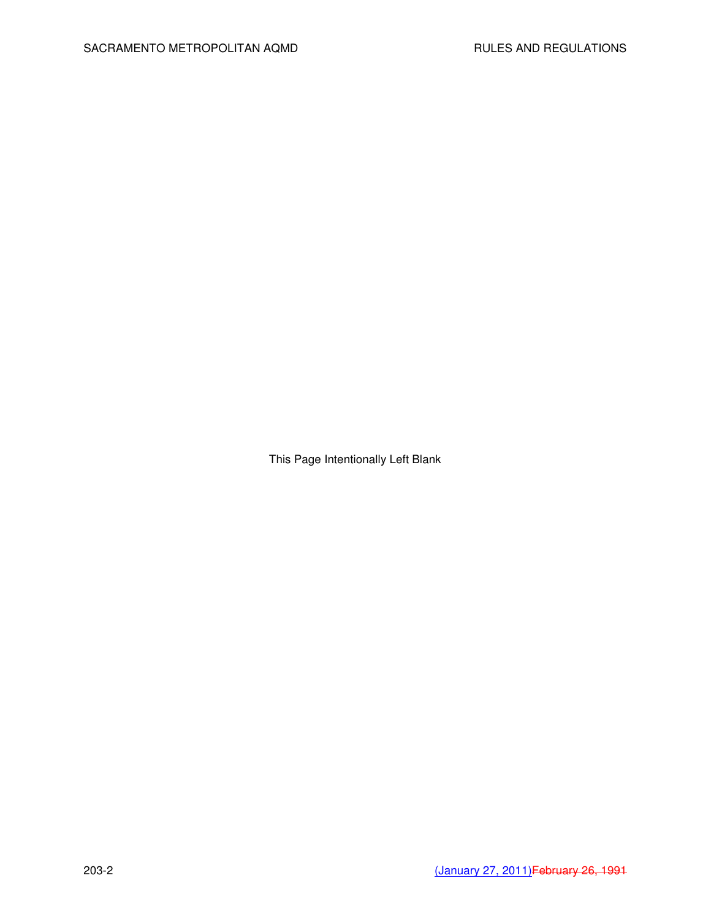This Page Intentionally Left Blank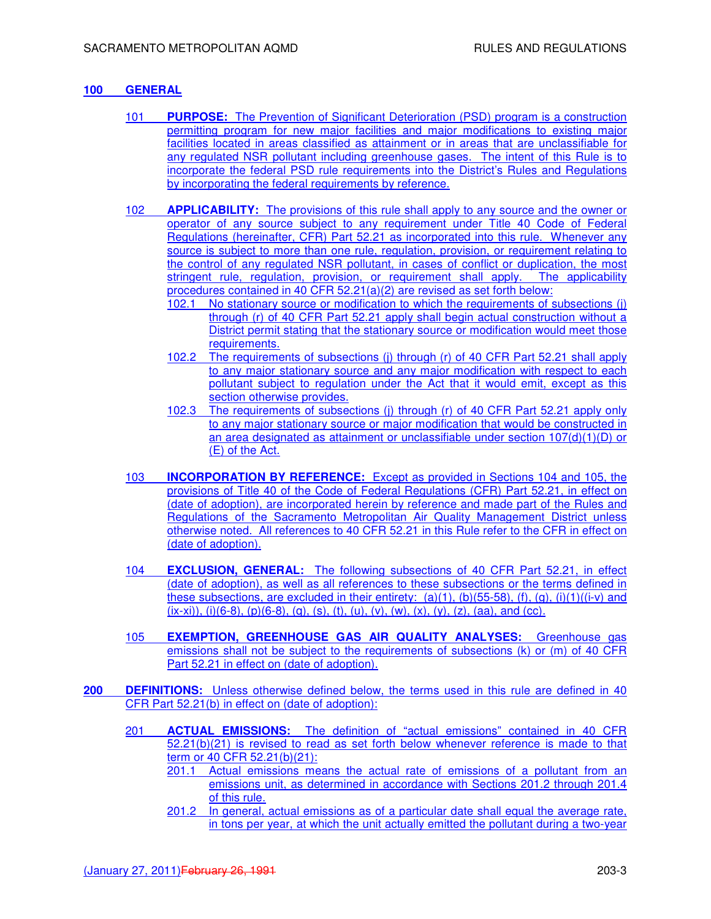# **100 GENERAL**

- 101 **PURPOSE:** The Prevention of Significant Deterioration (PSD) program is a construction permitting program for new major facilities and major modifications to existing major facilities located in areas classified as attainment or in areas that are unclassifiable for any regulated NSR pollutant including greenhouse gases. The intent of this Rule is to incorporate the federal PSD rule requirements into the District's Rules and Regulations by incorporating the federal requirements by reference.
- 102 **APPLICABILITY:** The provisions of this rule shall apply to any source and the owner or operator of any source subject to any requirement under Title 40 Code of Federal Regulations (hereinafter, CFR) Part 52.21 as incorporated into this rule. Whenever any source is subject to more than one rule, regulation, provision, or requirement relating to the control of any regulated NSR pollutant, in cases of conflict or duplication, the most stringent rule, regulation, provision, or requirement shall apply. The applicability procedures contained in 40 CFR 52.21(a)(2) are revised as set forth below:
	- 102.1 No stationary source or modification to which the requirements of subsections (j) through (r) of 40 CFR Part 52.21 apply shall begin actual construction without a District permit stating that the stationary source or modification would meet those requirements.
	- 102.2 The requirements of subsections (j) through (r) of 40 CFR Part 52.21 shall apply to any major stationary source and any major modification with respect to each pollutant subject to regulation under the Act that it would emit, except as this section otherwise provides.
	- 102.3 The requirements of subsections (i) through (r) of 40 CFR Part 52.21 apply only to any major stationary source or major modification that would be constructed in an area designated as attainment or unclassifiable under section 107(d)(1)(D) or (E) of the Act.
- 103 **INCORPORATION BY REFERENCE:** Except as provided in Sections 104 and 105, the provisions of Title 40 of the Code of Federal Regulations (CFR) Part 52.21, in effect on (date of adoption), are incorporated herein by reference and made part of the Rules and Regulations of the Sacramento Metropolitan Air Quality Management District unless otherwise noted. All references to 40 CFR 52.21 in this Rule refer to the CFR in effect on (date of adoption).
- 104 **EXCLUSION, GENERAL:** The following subsections of 40 CFR Part 52.21, in effect (date of adoption), as well as all references to these subsections or the terms defined in these subsections, are excluded in their entirety:  $(a)(1)$ ,  $(b)(55-58)$ ,  $(f)$ ,  $(a)$ ,  $(i)(1)(i-v)$  and  $(ix-xi)$ ,  $(i)(6-8)$ ,  $(p)(6-8)$ ,  $(q)$ ,  $(s)$ ,  $(t)$ ,  $(u)$ ,  $(v)$ ,  $(w)$ ,  $(x)$ ,  $(v)$ ,  $(z)$ ,  $(aa)$ , and  $(cc)$ .
- 105 **EXEMPTION, GREENHOUSE GAS AIR QUALITY ANALYSES:** Greenhouse gas emissions shall not be subject to the requirements of subsections (k) or (m) of 40 CFR Part 52.21 in effect on (date of adoption).
- **200 DEFINITIONS:** Unless otherwise defined below, the terms used in this rule are defined in 40 CFR Part 52.21(b) in effect on (date of adoption):
	- 201 **ACTUAL EMISSIONS:** The definition of "actual emissions" contained in 40 CFR 52.21(b)(21) is revised to read as set forth below whenever reference is made to that term or 40 CFR 52.21(b)(21):
		- 201.1 Actual emissions means the actual rate of emissions of a pollutant from an emissions unit, as determined in accordance with Sections 201.2 through 201.4 of this rule.
		- 201.2 In general, actual emissions as of a particular date shall equal the average rate, in tons per year, at which the unit actually emitted the pollutant during a two-year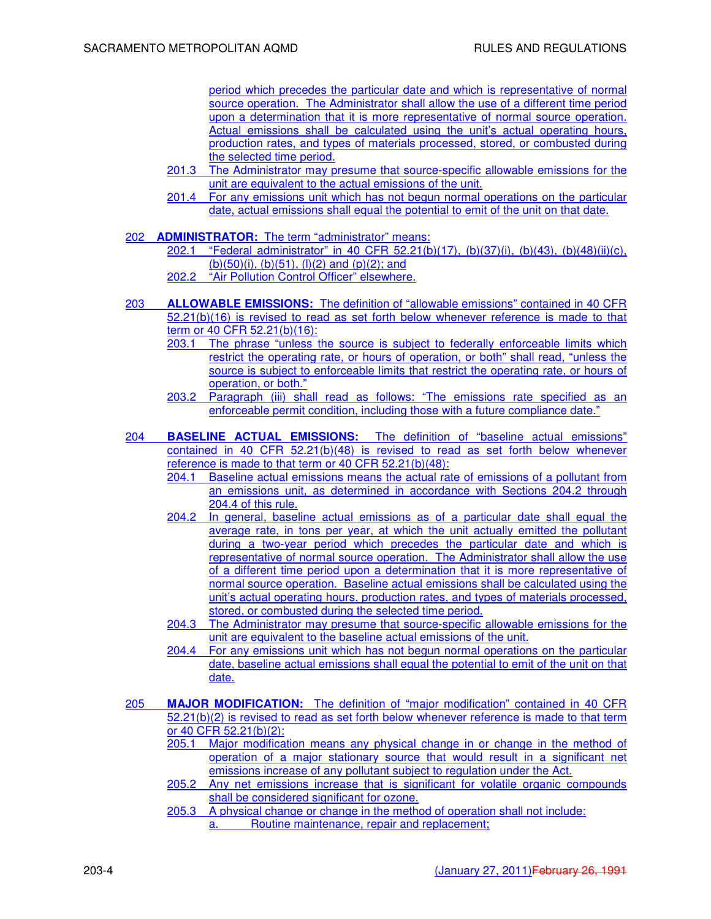period which precedes the particular date and which is representative of normal source operation. The Administrator shall allow the use of a different time period upon a determination that it is more representative of normal source operation. Actual emissions shall be calculated using the unit's actual operating hours, production rates, and types of materials processed, stored, or combusted during the selected time period.

- 201.3 The Administrator may presume that source-specific allowable emissions for the unit are equivalent to the actual emissions of the unit.
- 201.4 For any emissions unit which has not begun normal operations on the particular date, actual emissions shall equal the potential to emit of the unit on that date.
- 202 **ADMINISTRATOR:** The term "administrator" means:
	- 202.1 "Federal administrator" in 40 CFR 52.21(b)(17), (b)(37)(i), (b)(43), (b)(48)(ii)(c), (b)(50)(i), (b)(51), (l)(2) and (p)(2); and
	- 202.2 "Air Pollution Control Officer" elsewhere.
- 203 **ALLOWABLE EMISSIONS:** The definition of "allowable emissions" contained in 40 CFR 52.21(b)(16) is revised to read as set forth below whenever reference is made to that term or 40 CFR 52.21(b)(16):
	- 203.1 The phrase "unless the source is subject to federally enforceable limits which restrict the operating rate, or hours of operation, or both" shall read, "unless the source is subject to enforceable limits that restrict the operating rate, or hours of operation, or both."
	- 203.2 Paragraph (iii) shall read as follows: "The emissions rate specified as an enforceable permit condition, including those with a future compliance date."
- 204 **BASELINE ACTUAL EMISSIONS:** The definition of "baseline actual emissions" contained in 40 CFR 52.21(b)(48) is revised to read as set forth below whenever reference is made to that term or 40 CFR 52.21(b)(48):
	- 204.1 Baseline actual emissions means the actual rate of emissions of a pollutant from an emissions unit, as determined in accordance with Sections 204.2 through 204.4 of this rule.
	- 204.2 In general, baseline actual emissions as of a particular date shall equal the average rate, in tons per year, at which the unit actually emitted the pollutant during a two-year period which precedes the particular date and which is representative of normal source operation. The Administrator shall allow the use of a different time period upon a determination that it is more representative of normal source operation. Baseline actual emissions shall be calculated using the unit's actual operating hours, production rates, and types of materials processed, stored, or combusted during the selected time period.
	- 204.3 The Administrator may presume that source-specific allowable emissions for the unit are equivalent to the baseline actual emissions of the unit.
	- 204.4 For any emissions unit which has not begun normal operations on the particular date, baseline actual emissions shall equal the potential to emit of the unit on that date.
- 205 **MAJOR MODIFICATION:** The definition of "major modification" contained in 40 CFR 52.21(b)(2) is revised to read as set forth below whenever reference is made to that term or 40 CFR 52.21(b)(2):
	- 205.1 Major modification means any physical change in or change in the method of operation of a major stationary source that would result in a significant net emissions increase of any pollutant subject to regulation under the Act.
	- 205.2 Any net emissions increase that is significant for volatile organic compounds shall be considered significant for ozone.
	- 205.3 A physical change or change in the method of operation shall not include: a. Routine maintenance, repair and replacement;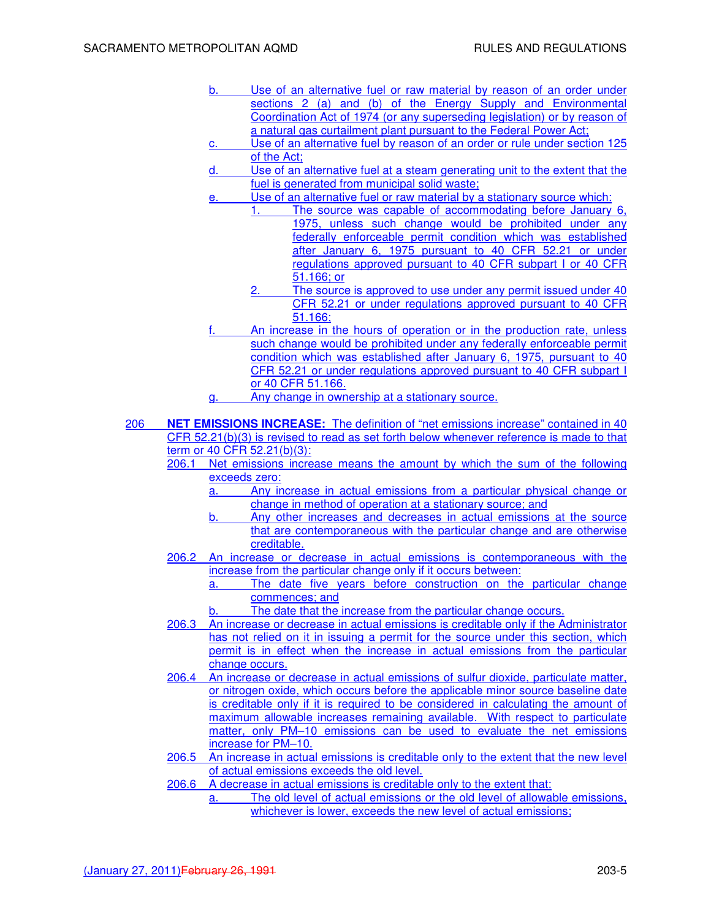- b. Use of an alternative fuel or raw material by reason of an order under sections 2 (a) and (b) of the Energy Supply and Environmental Coordination Act of 1974 (or any superseding legislation) or by reason of a natural gas curtailment plant pursuant to the Federal Power Act;
- c. Use of an alternative fuel by reason of an order or rule under section 125 of the Act;
- d. Use of an alternative fuel at a steam generating unit to the extent that the fuel is generated from municipal solid waste;
- e. Use of an alternative fuel or raw material by a stationary source which:
	- 1. The source was capable of accommodating before January 6, 1975, unless such change would be prohibited under any federally enforceable permit condition which was established after January 6, 1975 pursuant to 40 CFR 52.21 or under regulations approved pursuant to 40 CFR subpart I or 40 CFR 51.166; or
		- 2. The source is approved to use under any permit issued under 40 CFR 52.21 or under regulations approved pursuant to 40 CFR 51.166;
- f. An increase in the hours of operation or in the production rate, unless such change would be prohibited under any federally enforceable permit condition which was established after January 6, 1975, pursuant to 40 CFR 52.21 or under regulations approved pursuant to 40 CFR subpart I or 40 CFR 51.166.
- Any change in ownership at a stationary source.
- 206 **NET EMISSIONS INCREASE:** The definition of "net emissions increase" contained in 40 CFR 52.21(b)(3) is revised to read as set forth below whenever reference is made to that term or 40 CFR 52.21(b)(3):
	- 206.1 Net emissions increase means the amount by which the sum of the following exceeds zero:
		- a. Any increase in actual emissions from a particular physical change or change in method of operation at a stationary source; and
		- b. Any other increases and decreases in actual emissions at the source that are contemporaneous with the particular change and are otherwise creditable.
	- 206.2 An increase or decrease in actual emissions is contemporaneous with the increase from the particular change only if it occurs between:
		- a. The date five years before construction on the particular change commences; and
		- b. The date that the increase from the particular change occurs.
	- 206.3 An increase or decrease in actual emissions is creditable only if the Administrator has not relied on it in issuing a permit for the source under this section, which permit is in effect when the increase in actual emissions from the particular change occurs.
	- 206.4 An increase or decrease in actual emissions of sulfur dioxide, particulate matter, or nitrogen oxide, which occurs before the applicable minor source baseline date is creditable only if it is required to be considered in calculating the amount of maximum allowable increases remaining available. With respect to particulate matter, only PM–10 emissions can be used to evaluate the net emissions increase for PM–10.
	- 206.5 An increase in actual emissions is creditable only to the extent that the new level of actual emissions exceeds the old level.
	- 206.6 A decrease in actual emissions is creditable only to the extent that:
		- a. The old level of actual emissions or the old level of allowable emissions, whichever is lower, exceeds the new level of actual emissions;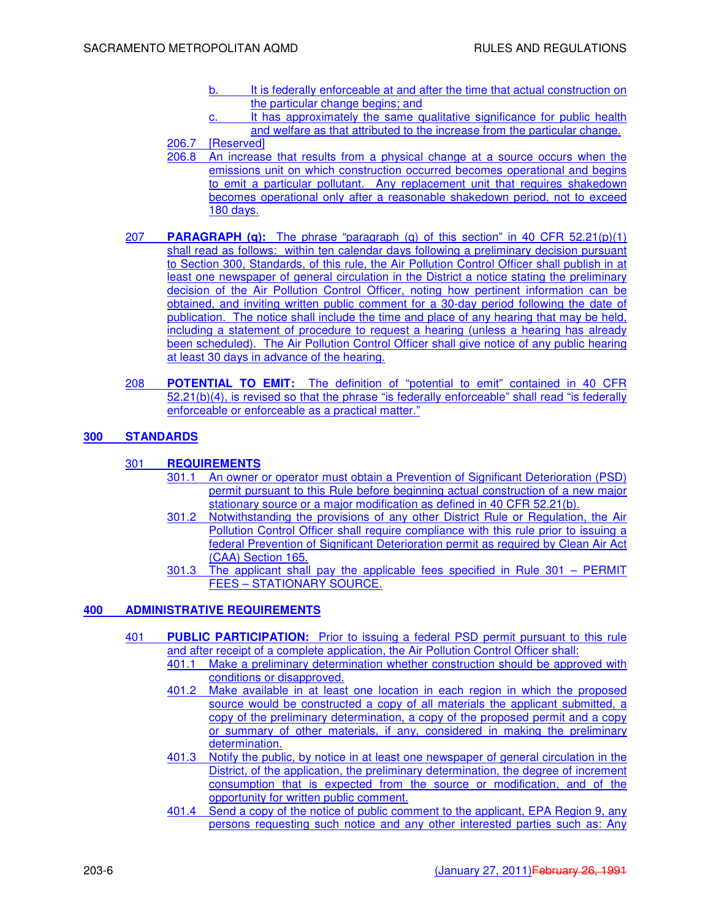- b. It is federally enforceable at and after the time that actual construction on the particular change begins; and
- c. It has approximately the same qualitative significance for public health and welfare as that attributed to the increase from the particular change.
- 206.7 [Reserved]
- 206.8 An increase that results from a physical change at a source occurs when the emissions unit on which construction occurred becomes operational and begins to emit a particular pollutant. Any replacement unit that requires shakedown becomes operational only after a reasonable shakedown period, not to exceed 180 days.
- 207 **PARAGRAPH (q):** The phrase "paragraph (q) of this section" in 40 CFR 52.21(p)(1) shall read as follows: within ten calendar days following a preliminary decision pursuant to Section 300, Standards, of this rule, the Air Pollution Control Officer shall publish in at least one newspaper of general circulation in the District a notice stating the preliminary decision of the Air Pollution Control Officer, noting how pertinent information can be obtained, and inviting written public comment for a 30-day period following the date of publication. The notice shall include the time and place of any hearing that may be held, including a statement of procedure to request a hearing (unless a hearing has already been scheduled). The Air Pollution Control Officer shall give notice of any public hearing at least 30 days in advance of the hearing.
- 208 **POTENTIAL TO EMIT:** The definition of "potential to emit" contained in 40 CFR 52.21(b)(4), is revised so that the phrase "is federally enforceable" shall read "is federally enforceable or enforceable as a practical matter."

# **300 STANDARDS**

# 301 **REQUIREMENTS**

- 301.1 An owner or operator must obtain a Prevention of Significant Deterioration (PSD) permit pursuant to this Rule before beginning actual construction of a new major stationary source or a major modification as defined in 40 CFR 52.21(b).
- 301.2 Notwithstanding the provisions of any other District Rule or Regulation, the Air Pollution Control Officer shall require compliance with this rule prior to issuing a federal Prevention of Significant Deterioration permit as required by Clean Air Act (CAA) Section 165.
- 301.3 The applicant shall pay the applicable fees specified in Rule 301 PERMIT FEES – STATIONARY SOURCE.

### **400 ADMINISTRATIVE REQUIREMENTS**

- 401 **PUBLIC PARTICIPATION:** Prior to issuing a federal PSD permit pursuant to this rule and after receipt of a complete application, the Air Pollution Control Officer shall:
	- 401.1 Make a preliminary determination whether construction should be approved with conditions or disapproved.
	- 401.2 Make available in at least one location in each region in which the proposed source would be constructed a copy of all materials the applicant submitted, a copy of the preliminary determination, a copy of the proposed permit and a copy or summary of other materials, if any, considered in making the preliminary determination.
	- 401.3 Notify the public, by notice in at least one newspaper of general circulation in the District, of the application, the preliminary determination, the degree of increment consumption that is expected from the source or modification, and of the opportunity for written public comment.
	- 401.4 Send a copy of the notice of public comment to the applicant, EPA Region 9, any persons requesting such notice and any other interested parties such as: Any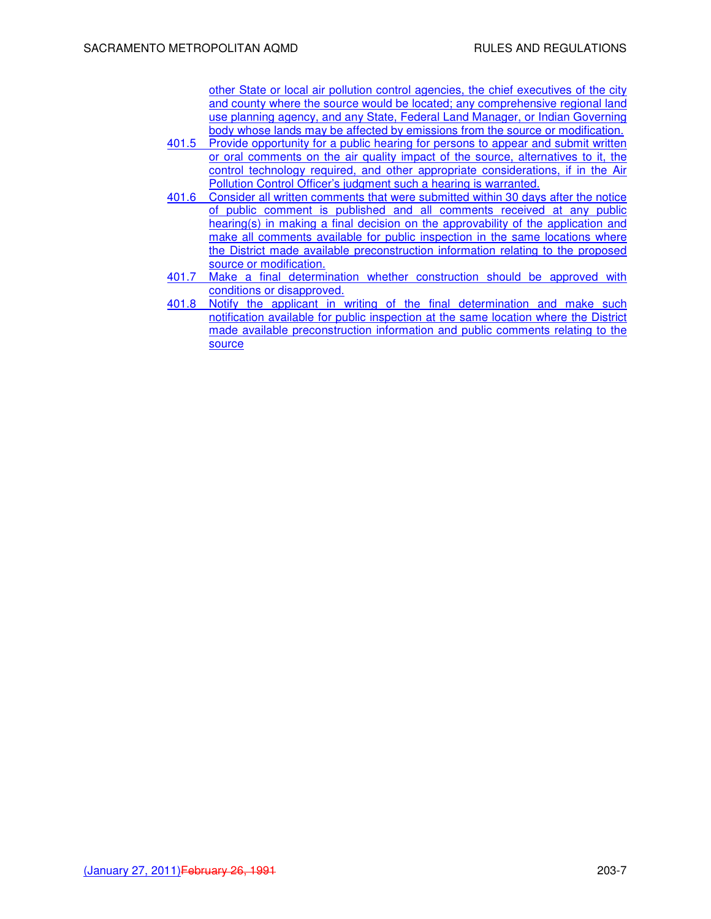other State or local air pollution control agencies, the chief executives of the city and county where the source would be located; any comprehensive regional land use planning agency, and any State, Federal Land Manager, or Indian Governing body whose lands may be affected by emissions from the source or modification.

- 401.5 Provide opportunity for a public hearing for persons to appear and submit written or oral comments on the air quality impact of the source, alternatives to it, the control technology required, and other appropriate considerations, if in the Air Pollution Control Officer's judgment such a hearing is warranted.
- 401.6 Consider all written comments that were submitted within 30 days after the notice of public comment is published and all comments received at any public hearing(s) in making a final decision on the approvability of the application and make all comments available for public inspection in the same locations where the District made available preconstruction information relating to the proposed source or modification.
- 401.7 Make a final determination whether construction should be approved with conditions or disapproved.
- 401.8 Notify the applicant in writing of the final determination and make such notification available for public inspection at the same location where the District made available preconstruction information and public comments relating to the **source**